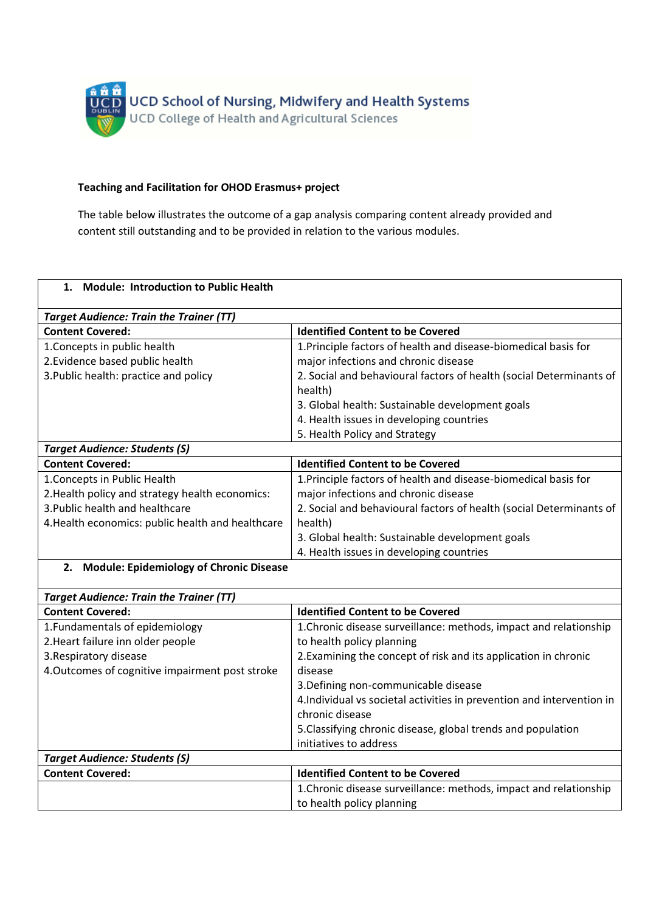

# **Teaching and Facilitation for OHOD Erasmus+ project**

The table below illustrates the outcome of a gap analysis comparing content already provided and content still outstanding and to be provided in relation to the various modules.

| 1. Module: Introduction to Public Health          |                                                                                |
|---------------------------------------------------|--------------------------------------------------------------------------------|
| <b>Target Audience: Train the Trainer (TT)</b>    |                                                                                |
| <b>Content Covered:</b>                           | <b>Identified Content to be Covered</b>                                        |
| 1. Concepts in public health                      | 1. Principle factors of health and disease-biomedical basis for                |
| 2. Evidence based public health                   | major infections and chronic disease                                           |
| 3. Public health: practice and policy             | 2. Social and behavioural factors of health (social Determinants of<br>health) |
|                                                   | 3. Global health: Sustainable development goals                                |
|                                                   | 4. Health issues in developing countries                                       |
|                                                   | 5. Health Policy and Strategy                                                  |
| <b>Target Audience: Students (S)</b>              |                                                                                |
| <b>Content Covered:</b>                           | <b>Identified Content to be Covered</b>                                        |
| 1. Concepts in Public Health                      | 1. Principle factors of health and disease-biomedical basis for                |
| 2. Health policy and strategy health economics:   | major infections and chronic disease                                           |
| 3. Public health and healthcare                   | 2. Social and behavioural factors of health (social Determinants of            |
| 4. Health economics: public health and healthcare | health)                                                                        |
|                                                   | 3. Global health: Sustainable development goals                                |
|                                                   | 4. Health issues in developing countries                                       |
| 2. Module: Epidemiology of Chronic Disease        |                                                                                |
| <b>Target Audience: Train the Trainer (TT)</b>    |                                                                                |
| <b>Content Covered:</b>                           | <b>Identified Content to be Covered</b>                                        |
| 1. Fundamentals of epidemiology                   | 1. Chronic disease surveillance: methods, impact and relationship              |
| 2. Heart failure inn older people                 | to health policy planning                                                      |
| 3. Respiratory disease                            | 2. Examining the concept of risk and its application in chronic                |
| 4. Outcomes of cognitive impairment post stroke   | disease                                                                        |
|                                                   | 3. Defining non-communicable disease                                           |
|                                                   | 4. Individual vs societal activities in prevention and intervention in         |
|                                                   | chronic disease                                                                |
|                                                   | 5. Classifying chronic disease, global trends and population                   |
|                                                   | initiatives to address                                                         |
| <b>Target Audience: Students (S)</b>              |                                                                                |
| <b>Content Covered:</b>                           | <b>Identified Content to be Covered</b>                                        |
|                                                   | 1. Chronic disease surveillance: methods, impact and relationship              |
|                                                   | to health policy planning                                                      |
|                                                   |                                                                                |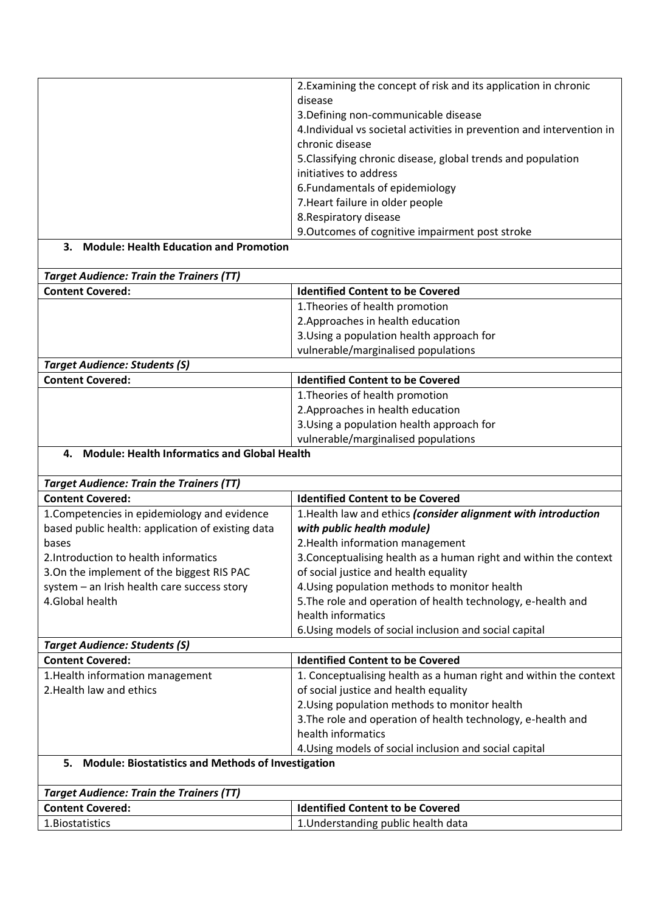| 2. Examining the concept of risk and its application in chronic        |
|------------------------------------------------------------------------|
| disease                                                                |
| 3. Defining non-communicable disease                                   |
| 4. Individual vs societal activities in prevention and intervention in |
| chronic disease                                                        |
| 5. Classifying chronic disease, global trends and population           |
| initiatives to address                                                 |
| 6. Fundamentals of epidemiology                                        |
| 7. Heart failure in older people                                       |
| 8. Respiratory disease                                                 |
| 9. Outcomes of cognitive impairment post stroke                        |

### **3. Module: Health Education and Promotion**

| <b>Target Audience: Train the Trainers (TT)</b> |                                           |
|-------------------------------------------------|-------------------------------------------|
| <b>Content Covered:</b>                         | <b>Identified Content to be Covered</b>   |
|                                                 | 1. Theories of health promotion           |
|                                                 | 2. Approaches in health education         |
|                                                 | 3. Using a population health approach for |
|                                                 | vulnerable/marginalised populations       |
| <b>Target Audience: Students (S)</b>            |                                           |
| <b>Content Covered:</b>                         | <b>Identified Content to be Covered</b>   |
|                                                 | 1. Theories of health promotion           |
|                                                 | 2. Approaches in health education         |

3.Using a population health approach for vulnerable/marginalised populations

3.The role and operation of health technology, e-health and

### **4. Module: Health Informatics and Global Health**

| <b>Target Audience: Train the Trainers (TT)</b>   |                                                                   |
|---------------------------------------------------|-------------------------------------------------------------------|
| <b>Content Covered:</b>                           | <b>Identified Content to be Covered</b>                           |
| 1. Competencies in epidemiology and evidence      | 1. Health law and ethics (consider alignment with introduction    |
| based public health: application of existing data | with public health module)                                        |
| bases                                             | 2. Health information management                                  |
| 2. Introduction to health informatics             | 3. Conceptualising health as a human right and within the context |
| 3. On the implement of the biggest RIS PAC        | of social justice and health equality                             |
| system - an Irish health care success story       | 4. Using population methods to monitor health                     |
| 4.Global health                                   | 5. The role and operation of health technology, e-health and      |
|                                                   | health informatics                                                |
|                                                   | 6. Using models of social inclusion and social capital            |
| <b>Target Audience: Students (S)</b>              |                                                                   |
| <b>Content Covered:</b>                           | <b>Identified Content to be Covered</b>                           |
| 1. Health information management                  | 1. Conceptualising health as a human right and within the context |
| 2. Health law and ethics                          | of social justice and health equality                             |
|                                                   | 2. Using population methods to monitor health                     |

## health informatics 4.Using models of social inclusion and social capital

# **5. Module: Biostatistics and Methods of Investigation**

| <b>Target Audience: Train the Trainers (TT)</b> |                                         |
|-------------------------------------------------|-----------------------------------------|
| <b>Content Covered:</b>                         | <b>Identified Content to be Covered</b> |
| 1. Biostatistics                                | 1. Understanding public health data     |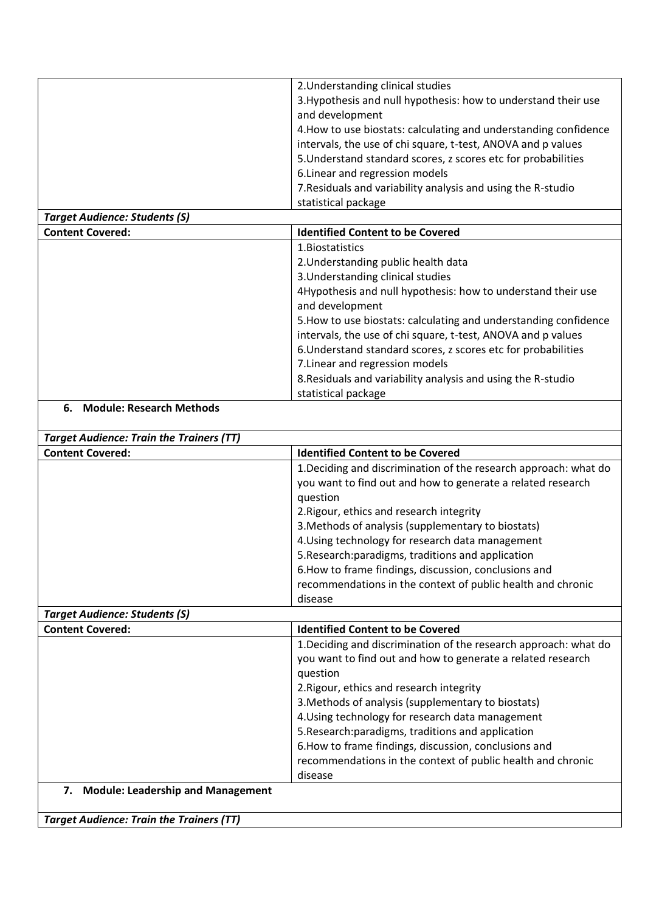|                                      | 2. Understanding clinical studies                                                 |
|--------------------------------------|-----------------------------------------------------------------------------------|
|                                      | 3. Hypothesis and null hypothesis: how to understand their use<br>and development |
|                                      | 4. How to use biostats: calculating and understanding confidence                  |
|                                      | intervals, the use of chi square, t-test, ANOVA and p values                      |
|                                      | 5. Understand standard scores, z scores etc for probabilities                     |
|                                      | 6. Linear and regression models                                                   |
|                                      | 7. Residuals and variability analysis and using the R-studio                      |
|                                      | statistical package                                                               |
| <b>Target Audience: Students (S)</b> |                                                                                   |

| <b>Content Covered:</b> | <b>Identified Content to be Covered</b>                                                                                                                                                           |
|-------------------------|---------------------------------------------------------------------------------------------------------------------------------------------------------------------------------------------------|
|                         | 1. Biostatistics                                                                                                                                                                                  |
|                         | 2. Understanding public health data                                                                                                                                                               |
|                         | 3. Understanding clinical studies                                                                                                                                                                 |
|                         | 4Hypothesis and null hypothesis: how to understand their use<br>and development                                                                                                                   |
|                         | 5. How to use biostats: calculating and understanding confidence<br>intervals, the use of chi square, t-test, ANOVA and p values<br>6. Understand standard scores, z scores etc for probabilities |
|                         | 7. Linear and regression models                                                                                                                                                                   |
|                         | 8. Residuals and variability analysis and using the R-studio                                                                                                                                      |
|                         | statistical package                                                                                                                                                                               |

| <b>Target Audience: Train the Trainers (TT)</b> |                                                                  |
|-------------------------------------------------|------------------------------------------------------------------|
| <b>Content Covered:</b>                         | <b>Identified Content to be Covered</b>                          |
|                                                 | 1. Deciding and discrimination of the research approach: what do |
|                                                 | you want to find out and how to generate a related research      |
|                                                 | question                                                         |
|                                                 | 2. Rigour, ethics and research integrity                         |
|                                                 | 3. Methods of analysis (supplementary to biostats)               |
|                                                 | 4. Using technology for research data management                 |
|                                                 | 5. Research: paradigms, traditions and application               |
|                                                 | 6. How to frame findings, discussion, conclusions and            |
|                                                 | recommendations in the context of public health and chronic      |
|                                                 | disease                                                          |
| <b>Target Audience: Students (S)</b>            |                                                                  |
| <b>Content Covered:</b>                         | <b>Identified Content to be Covered</b>                          |
|                                                 | 1. Deciding and discrimination of the research approach: what do |
|                                                 | you want to find out and how to generate a related research      |
|                                                 | question                                                         |
|                                                 | 2. Rigour, ethics and research integrity                         |
|                                                 | 3. Methods of analysis (supplementary to biostats)               |
|                                                 | 4. Using technology for research data management                 |
|                                                 | 5. Research: paradigms, traditions and application               |
|                                                 | 6. How to frame findings, discussion, conclusions and            |
|                                                 | recommendations in the context of public health and chronic      |
|                                                 | disease                                                          |
| <b>Module: Leadership and Management</b><br>7.  |                                                                  |

*Target Audience: Train the Trainers (TT)*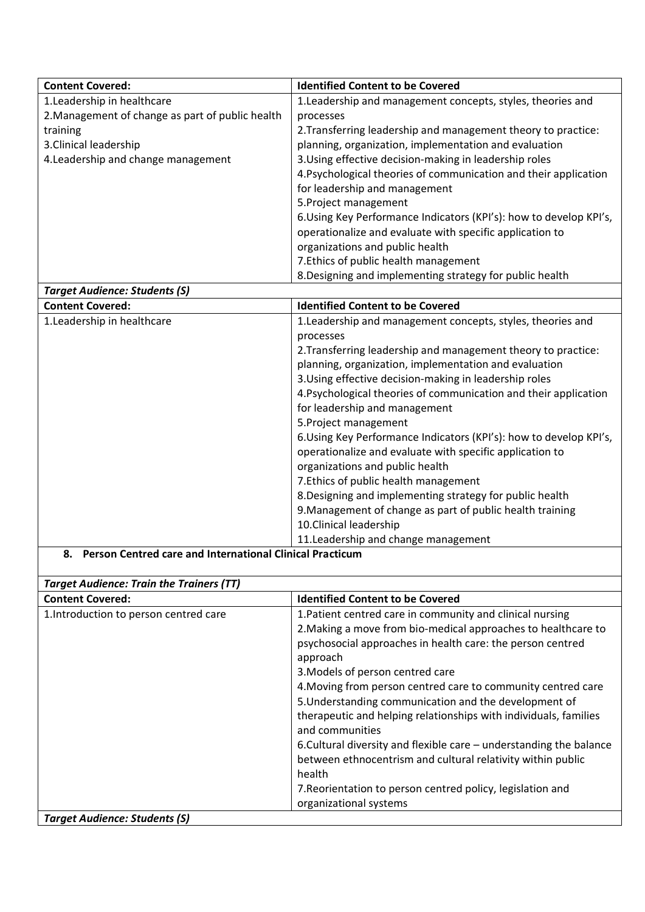| <b>Content Covered:</b>                                     | <b>Identified Content to be Covered</b>                             |
|-------------------------------------------------------------|---------------------------------------------------------------------|
| 1. Leadership in healthcare                                 | 1. Leadership and management concepts, styles, theories and         |
| 2. Management of change as part of public health            | processes                                                           |
| training                                                    | 2. Transferring leadership and management theory to practice:       |
| 3. Clinical leadership                                      | planning, organization, implementation and evaluation               |
| 4. Leadership and change management                         | 3. Using effective decision-making in leadership roles              |
|                                                             | 4. Psychological theories of communication and their application    |
|                                                             | for leadership and management                                       |
|                                                             | 5. Project management                                               |
|                                                             | 6. Using Key Performance Indicators (KPI's): how to develop KPI's,  |
|                                                             | operationalize and evaluate with specific application to            |
|                                                             | organizations and public health                                     |
|                                                             | 7. Ethics of public health management                               |
|                                                             | 8. Designing and implementing strategy for public health            |
| <b>Target Audience: Students (S)</b>                        |                                                                     |
| <b>Content Covered:</b>                                     | <b>Identified Content to be Covered</b>                             |
| 1. Leadership in healthcare                                 | 1. Leadership and management concepts, styles, theories and         |
|                                                             | processes                                                           |
|                                                             | 2. Transferring leadership and management theory to practice:       |
|                                                             | planning, organization, implementation and evaluation               |
|                                                             | 3. Using effective decision-making in leadership roles              |
|                                                             | 4. Psychological theories of communication and their application    |
|                                                             | for leadership and management                                       |
|                                                             | 5. Project management                                               |
|                                                             | 6. Using Key Performance Indicators (KPI's): how to develop KPI's,  |
|                                                             | operationalize and evaluate with specific application to            |
|                                                             | organizations and public health                                     |
|                                                             | 7. Ethics of public health management                               |
|                                                             | 8. Designing and implementing strategy for public health            |
|                                                             | 9. Management of change as part of public health training           |
|                                                             | 10. Clinical leadership                                             |
|                                                             | 11. Leadership and change management                                |
| 8. Person Centred care and International Clinical Practicum |                                                                     |
|                                                             |                                                                     |
| <b>Target Audience: Train the Trainers (TT)</b>             |                                                                     |
| <b>Content Covered:</b>                                     | <b>Identified Content to be Covered</b>                             |
| 1. Introduction to person centred care                      | 1. Patient centred care in community and clinical nursing           |
|                                                             | 2. Making a move from bio-medical approaches to healthcare to       |
|                                                             | psychosocial approaches in health care: the person centred          |
|                                                             | approach                                                            |
|                                                             | 3. Models of person centred care                                    |
|                                                             | 4. Moving from person centred care to community centred care        |
|                                                             | 5. Understanding communication and the development of               |
|                                                             | therapeutic and helping relationships with individuals, families    |
|                                                             | and communities                                                     |
|                                                             | 6. Cultural diversity and flexible care – understanding the balance |
|                                                             | between ethnocentrism and cultural relativity within public         |
|                                                             | health                                                              |
|                                                             | 7. Reorientation to person centred policy, legislation and          |
|                                                             | organizational systems                                              |
| <b>Target Audience: Students (S)</b>                        |                                                                     |